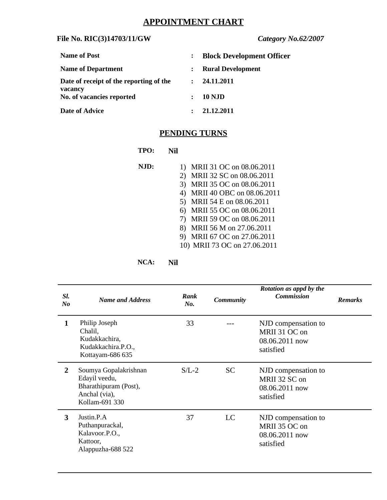# **APPOINTMENT CHART**

### **File No. RIC(3)14703/11/GW** *Category No.62/2007*

| <b>Name of Post</b>                     |                                 | <b>Block Development Officer</b> |
|-----------------------------------------|---------------------------------|----------------------------------|
| <b>Name of Department</b>               |                                 | <b>Rural Development</b>         |
| Date of receipt of the reporting of the | : 24.11.2011                    |                                  |
| vacancy<br>No. of vacancies reported    | <b>10 NJD</b><br>$\ddot{\cdot}$ |                                  |
| <b>Date of Advice</b>                   | 21.12.2011                      |                                  |

## **PENDING TURNS**

| TPO: | Nil                             |
|------|---------------------------------|
| NJD: | MRII 31 OC on 08.06.2011<br>1)  |
|      | MRII 32 SC on 08.06.2011<br>2)  |
|      | 3)<br>MRII 35 OC on 08.06.2011  |
|      | MRII 40 OBC on 08.06.2011<br>4) |
|      | MRII 54 E on 08.06.2011<br>5)   |
|      | MRII 55 OC on 08.06.2011<br>6)  |
|      | MRII 59 OC on 08.06.2011<br>7)  |
|      | MRII 56 M on 27.06.2011<br>8)   |
|      | MRII 67 OC on 27.06.2011<br>9)  |
|      | 10) MRII 73 OC on 27.06.2011    |

**NCA: Nil**

| SI.<br>No    | <b>Name and Address</b>                                                                            | Rank<br>No. | <b>Community</b> | Rotation as appd by the<br><b>Commission</b>                        | <b>Remarks</b> |
|--------------|----------------------------------------------------------------------------------------------------|-------------|------------------|---------------------------------------------------------------------|----------------|
| $\mathbf{1}$ | Philip Joseph<br>Chalil,<br>Kudakkachira,<br>Kudakkachira.P.O.,<br>Kottayam-686 635                | 33          |                  | NJD compensation to<br>MRII 31 OC on<br>08.06.2011 now<br>satisfied |                |
| $\mathbf{2}$ | Soumya Gopalakrishnan<br>Edayil veedu,<br>Bharathipuram (Post),<br>Anchal (via),<br>Kollam-691 330 | $S/L-2$     | <b>SC</b>        | NJD compensation to<br>MRII 32 SC on<br>08.06.2011 now<br>satisfied |                |
| 3            | Justin.P.A<br>Puthanpurackal,<br>Kalavoor.P.O.,<br>Kattoor,<br>Alappuzha-688 522                   | 37          | LC               | NJD compensation to<br>MRII 35 OC on<br>08.06.2011 now<br>satisfied |                |